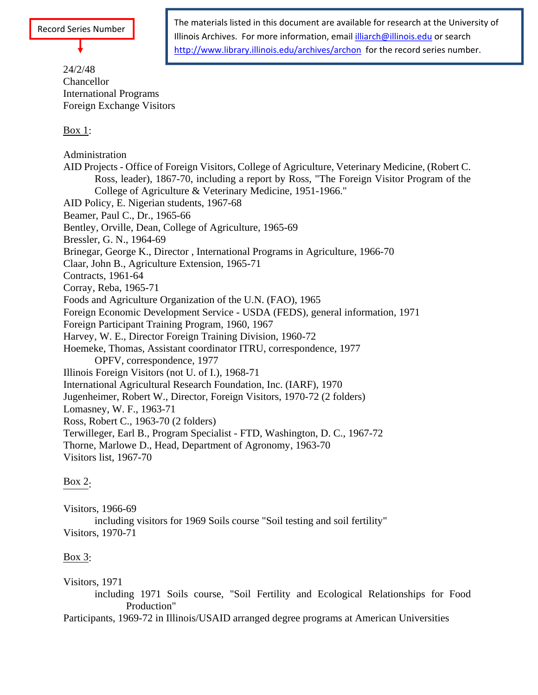# 24/2/48 Chancellor **Chancellor** International Programs Foreign Exchange Visitors

 $\frac{\text{Box 1}}{\text{Box 1}}$ 

The materials listed in this document are available for research at the University of Illinois Archives. For more information, email illiarch@illinois.edu or search http://www.library.illinois.edu/archives/archon for the record series number.

Administration AID Projects - Office of Foreign Visitors, College of Agriculture, Veterinary Medicine, (Robert C. Ross, leader), 1867-70, including a report by Ross, "The Foreign Visitor Program of the College of Agriculture & Veterinary Medicine, 1951-1966." AID Policy, E. Nigerian students, 1967-68 Beamer, Paul C., Dr., 1965-66 Bentley, Orville, Dean, College of Agriculture, 1965-69 Bressler, G. N., 1964-69 Brinegar, George K., Director , International Programs in Agriculture, 1966-70 Claar, John B., Agriculture Extension, 1965-71 Contracts, 1961-64 Corray, Reba, 1965-71 Foods and Agriculture Organization of the U.N. (FAO), 1965 Foreign Economic Development Service - USDA (FEDS), general information, 1971 Foreign Participant Training Program, 1960, 1967 Harvey, W. E., Director Foreign Training Division, 1960-72 Hoemeke, Thomas, Assistant coordinator ITRU, correspondence, 1977 OPFV, correspondence, 1977 Illinois Foreign Visitors (not U. of I.), 1968-71 International Agricultural Research Foundation, Inc. (IARF), 1970 Jugenheimer, Robert W., Director, Foreign Visitors, 1970-72 (2 folders) Lomasney, W. F., 1963-71 Ross, Robert C., 1963-70 (2 folders) Terwilleger, Earl B., Program Specialist - FTD, Washington, D. C., 1967-72 Thorne, Marlowe D., Head, Department of Agronomy, 1963-70 Visitors list, 1967-70

# $\frac{Box}{2}$ :

Visitors, 1966-69 including visitors for 1969 Soils course "Soil testing and soil fertility" Visitors, 1970-71

# $\frac{Box}{3}$ :

Visitors, 1971

including 1971 Soils course, "Soil Fertility and Ecological Relationships for Food Production" and the set of the set of the set of the set of the set of the set of the set of the set of the set of the set of the set of the set of the set of the set of the set of the set of the set of the set of the set

Participants, 1969-72 in Illinois/USAID arranged degree programs at American Universities